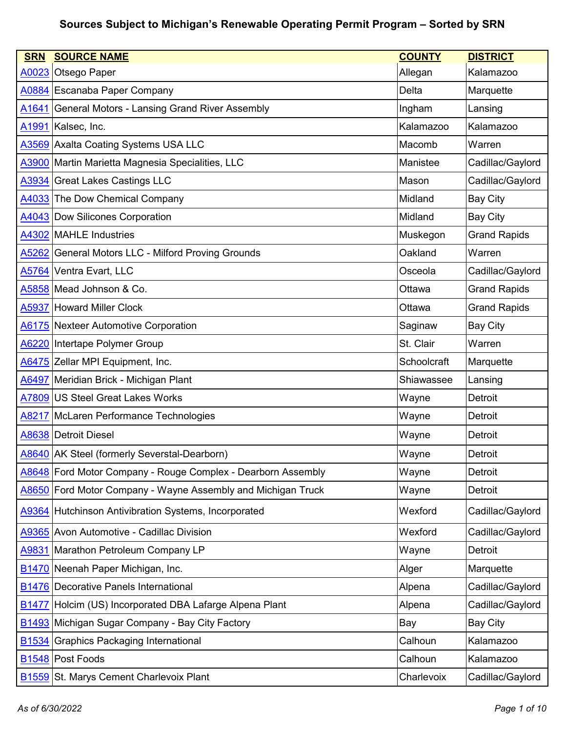| <b>SRN</b>        | <b>SOURCE NAME</b>                                           | <b>COUNTY</b> | <b>DISTRICT</b>     |
|-------------------|--------------------------------------------------------------|---------------|---------------------|
| A0023             | Otsego Paper                                                 | Allegan       | Kalamazoo           |
|                   | A0884 Escanaba Paper Company                                 | Delta         | Marquette           |
| A1641             | <b>General Motors - Lansing Grand River Assembly</b>         | Ingham        | Lansing             |
| A1991             | Kalsec, Inc.                                                 | Kalamazoo     | Kalamazoo           |
|                   | A3569 Axalta Coating Systems USA LLC                         | Macomb        | Warren              |
|                   | A3900 Martin Marietta Magnesia Specialities, LLC             | Manistee      | Cadillac/Gaylord    |
| A3934             | <b>Great Lakes Castings LLC</b>                              | Mason         | Cadillac/Gaylord    |
| A4033             | The Dow Chemical Company                                     | Midland       | <b>Bay City</b>     |
|                   | A4043 Dow Silicones Corporation                              | Midland       | <b>Bay City</b>     |
|                   | A4302 MAHLE Industries                                       | Muskegon      | <b>Grand Rapids</b> |
| A5262             | General Motors LLC - Milford Proving Grounds                 | Oakland       | Warren              |
| A5764             | Ventra Evart, LLC                                            | Osceola       | Cadillac/Gaylord    |
|                   | A5858 Mead Johnson & Co.                                     | Ottawa        | <b>Grand Rapids</b> |
| A5937             | <b>Howard Miller Clock</b>                                   | Ottawa        | <b>Grand Rapids</b> |
|                   | A6175 Nexteer Automotive Corporation                         | Saginaw       | <b>Bay City</b>     |
|                   | A6220 Intertape Polymer Group                                | St. Clair     | Warren              |
|                   | A6475 Zellar MPI Equipment, Inc.                             | Schoolcraft   | Marquette           |
| A6497             | Meridian Brick - Michigan Plant                              | Shiawassee    | Lansing             |
| A7809             | <b>US Steel Great Lakes Works</b>                            | Wayne         | Detroit             |
|                   | A8217 McLaren Performance Technologies                       | Wayne         | Detroit             |
|                   | A8638 Detroit Diesel                                         | Wayne         | Detroit             |
|                   | A8640 AK Steel (formerly Severstal-Dearborn)                 | Wayne         | Detroit             |
|                   | A8648 Ford Motor Company - Rouge Complex - Dearborn Assembly | Wayne         | Detroit             |
|                   | A8650 Ford Motor Company - Wayne Assembly and Michigan Truck | Wayne         | Detroit             |
|                   | A9364 Hutchinson Antivibration Systems, Incorporated         | Wexford       | Cadillac/Gaylord    |
|                   | A9365 Avon Automotive - Cadillac Division                    | Wexford       | Cadillac/Gaylord    |
| A9831             | Marathon Petroleum Company LP                                | Wayne         | Detroit             |
|                   | B1470 Neenah Paper Michigan, Inc.                            | Alger         | Marquette           |
| <b>B1476</b>      | Decorative Panels International                              | Alpena        | Cadillac/Gaylord    |
| <b>B1477</b>      | Holcim (US) Incorporated DBA Lafarge Alpena Plant            | Alpena        | Cadillac/Gaylord    |
|                   | <b>B1493</b> Michigan Sugar Company - Bay City Factory       | Bay           | <b>Bay City</b>     |
| B <sub>1534</sub> | <b>Graphics Packaging International</b>                      | Calhoun       | Kalamazoo           |
|                   | B <sub>1548</sub> Post Foods                                 | Calhoun       | Kalamazoo           |
|                   | B1559 St. Marys Cement Charlevoix Plant                      | Charlevoix    | Cadillac/Gaylord    |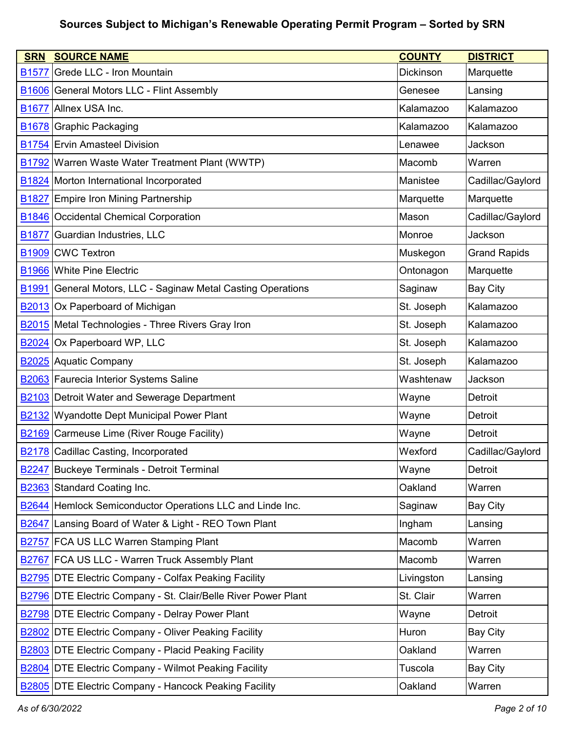| <b>SRN</b>        | <b>SOURCE NAME</b>                                                    | <b>COUNTY</b>    | <b>DISTRICT</b>     |
|-------------------|-----------------------------------------------------------------------|------------------|---------------------|
| <b>B1577</b>      | Grede LLC - Iron Mountain                                             | <b>Dickinson</b> | Marquette           |
|                   | B1606 General Motors LLC - Flint Assembly                             | Genesee          | Lansing             |
| <b>B1677</b>      | Allnex USA Inc.                                                       | Kalamazoo        | Kalamazoo           |
| <b>B1678</b>      | <b>Graphic Packaging</b>                                              | Kalamazoo        | Kalamazoo           |
|                   | <b>B1754 Ervin Amasteel Division</b>                                  | Lenawee          | Jackson             |
|                   | B1792 Warren Waste Water Treatment Plant (WWTP)                       | Macomb           | Warren              |
|                   | <b>B1824</b> Morton International Incorporated                        | Manistee         | Cadillac/Gaylord    |
| B <sub>1827</sub> | <b>Empire Iron Mining Partnership</b>                                 | Marquette        | Marquette           |
|                   | <b>B1846 Occidental Chemical Corporation</b>                          | Mason            | Cadillac/Gaylord    |
| <b>B1877</b>      | Guardian Industries, LLC                                              | Monroe           | Jackson             |
| B <sub>1909</sub> | <b>CWC Textron</b>                                                    | Muskegon         | <b>Grand Rapids</b> |
|                   | <b>B1966 White Pine Electric</b>                                      | Ontonagon        | Marquette           |
| B1991             | General Motors, LLC - Saginaw Metal Casting Operations                | Saginaw          | <b>Bay City</b>     |
|                   | <b>B2013</b> Ox Paperboard of Michigan                                | St. Joseph       | Kalamazoo           |
|                   | <b>B2015</b> Metal Technologies - Three Rivers Gray Iron              | St. Joseph       | Kalamazoo           |
| <b>B2024</b>      | Ox Paperboard WP, LLC                                                 | St. Joseph       | Kalamazoo           |
|                   | <b>B2025</b> Aquatic Company                                          | St. Joseph       | Kalamazoo           |
|                   | <b>B2063</b> Faurecia Interior Systems Saline                         | Washtenaw        | Jackson             |
|                   | <b>B2103</b> Detroit Water and Sewerage Department                    | Wayne            | Detroit             |
| <b>B2132</b>      | Wyandotte Dept Municipal Power Plant                                  | Wayne            | <b>Detroit</b>      |
|                   | <b>B2169</b> Carmeuse Lime (River Rouge Facility)                     | Wayne            | Detroit             |
|                   | <b>B2178</b> Cadillac Casting, Incorporated                           | Wexford          | Cadillac/Gaylord    |
|                   | B2247 Buckeye Terminals - Detroit Terminal                            | Wayne            | Detroit             |
|                   | <b>B2363</b> Standard Coating Inc.                                    | Oakland          | Warren              |
|                   | <b>B2644</b> Hemlock Semiconductor Operations LLC and Linde Inc.      | Saginaw          | <b>Bay City</b>     |
| <b>B2647</b>      | Lansing Board of Water & Light - REO Town Plant                       | Ingham           | Lansing             |
|                   | <b>B2757 FCA US LLC Warren Stamping Plant</b>                         | Macomb           | Warren              |
|                   | <b>B2767 FCA US LLC - Warren Truck Assembly Plant</b>                 | Macomb           | Warren              |
|                   | <b>B2795</b> DTE Electric Company - Colfax Peaking Facility           | Livingston       | Lansing             |
|                   | <b>B2796 DTE Electric Company - St. Clair/Belle River Power Plant</b> | St. Clair        | Warren              |
|                   | <b>B2798 DTE Electric Company - Delray Power Plant</b>                | Wayne            | Detroit             |
| <b>B2802</b>      | <b>DTE Electric Company - Oliver Peaking Facility</b>                 | Huron            | <b>Bay City</b>     |
|                   | <b>B2803</b> DTE Electric Company - Placid Peaking Facility           | Oakland          | Warren              |
|                   | <b>B2804 DTE Electric Company - Wilmot Peaking Facility</b>           | Tuscola          | <b>Bay City</b>     |
|                   | <b>B2805</b> DTE Electric Company - Hancock Peaking Facility          | Oakland          | Warren              |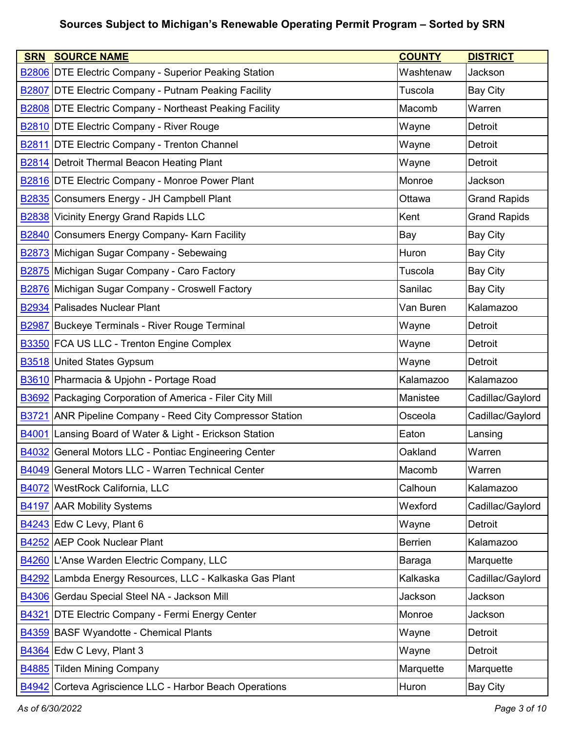| <b>SRN</b>        | <b>SOURCE NAME</b>                                              | <b>COUNTY</b>  | <b>DISTRICT</b>     |
|-------------------|-----------------------------------------------------------------|----------------|---------------------|
|                   | <b>B2806</b> DTE Electric Company - Superior Peaking Station    | Washtenaw      | Jackson             |
|                   | <b>B2807 DTE Electric Company - Putnam Peaking Facility</b>     | Tuscola        | <b>Bay City</b>     |
|                   | <b>B2808 DTE Electric Company - Northeast Peaking Facility</b>  | Macomb         | Warren              |
|                   | <b>B2810 DTE Electric Company - River Rouge</b>                 | Wayne          | Detroit             |
| B <sub>2811</sub> | <b>DTE Electric Company - Trenton Channel</b>                   | Wayne          | Detroit             |
|                   | B2814 Detroit Thermal Beacon Heating Plant                      | Wayne          | Detroit             |
|                   | <b>B2816 DTE Electric Company - Monroe Power Plant</b>          | Monroe         | Jackson             |
|                   | B2835 Consumers Energy - JH Campbell Plant                      | Ottawa         | <b>Grand Rapids</b> |
|                   | <b>B2838</b> Vicinity Energy Grand Rapids LLC                   | Kent           | <b>Grand Rapids</b> |
|                   | <b>B2840</b> Consumers Energy Company- Karn Facility            | Bay            | <b>Bay City</b>     |
|                   | <b>B2873</b> Michigan Sugar Company - Sebewaing                 | Huron          | <b>Bay City</b>     |
| <b>B2875</b>      | Michigan Sugar Company - Caro Factory                           | Tuscola        | <b>Bay City</b>     |
|                   | <b>B2876</b> Michigan Sugar Company - Croswell Factory          | Sanilac        | <b>Bay City</b>     |
|                   | <b>B2934 Palisades Nuclear Plant</b>                            | Van Buren      | Kalamazoo           |
| <b>B2987</b>      | Buckeye Terminals - River Rouge Terminal                        | Wayne          | Detroit             |
|                   | B3350 FCA US LLC - Trenton Engine Complex                       | Wayne          | Detroit             |
|                   | <b>B3518</b> United States Gypsum                               | Wayne          | Detroit             |
|                   | B3610 Pharmacia & Upjohn - Portage Road                         | Kalamazoo      | Kalamazoo           |
|                   | <b>B3692</b> Packaging Corporation of America - Filer City Mill | Manistee       | Cadillac/Gaylord    |
| <b>B3721</b>      | <b>ANR Pipeline Company - Reed City Compressor Station</b>      | Osceola        | Cadillac/Gaylord    |
| B4001             | Lansing Board of Water & Light - Erickson Station               | Eaton          | Lansing             |
|                   | <b>B4032</b> General Motors LLC - Pontiac Engineering Center    | Oakland        | Warren              |
|                   | B4049 General Motors LLC - Warren Technical Center              | Macomb         | Warren              |
|                   | B4072 WestRock California, LLC                                  | Calhoun        | Kalamazoo           |
|                   | <b>B4197 AAR Mobility Systems</b>                               | Wexford        | Cadillac/Gaylord    |
|                   | B4243 Edw C Levy, Plant 6                                       | Wayne          | <b>Detroit</b>      |
|                   | B4252 AEP Cook Nuclear Plant                                    | <b>Berrien</b> | Kalamazoo           |
|                   | B4260 L'Anse Warden Electric Company, LLC                       | Baraga         | Marquette           |
|                   | B4292 Lambda Energy Resources, LLC - Kalkaska Gas Plant         | Kalkaska       | Cadillac/Gaylord    |
|                   | B4306 Gerdau Special Steel NA - Jackson Mill                    | Jackson        | Jackson             |
| B4321             | <b>DTE Electric Company - Fermi Energy Center</b>               | Monroe         | Jackson             |
|                   | <b>B4359 BASF Wyandotte - Chemical Plants</b>                   | Wayne          | Detroit             |
|                   | B4364 Edw C Levy, Plant 3                                       | Wayne          | Detroit             |
|                   | <b>B4885</b> Tilden Mining Company                              | Marquette      | Marquette           |
|                   | <b>B4942</b> Corteva Agriscience LLC - Harbor Beach Operations  | Huron          | <b>Bay City</b>     |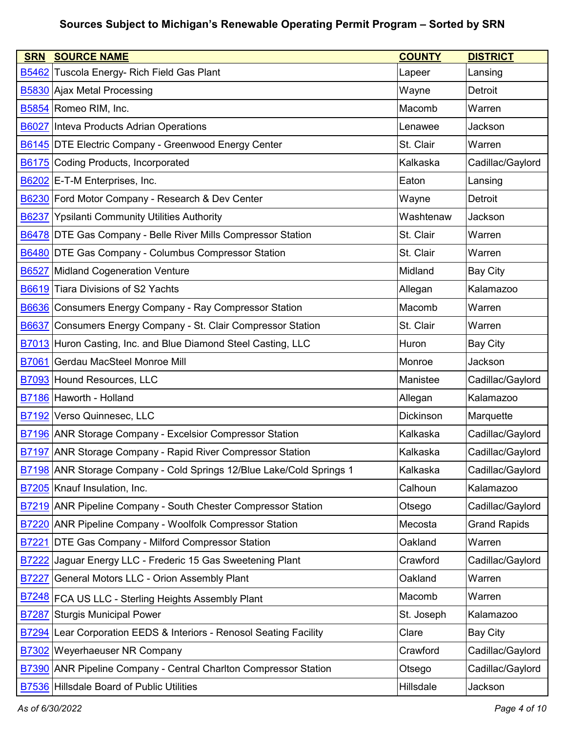| <b>SRN</b>   | <b>SOURCE NAME</b>                                                          | <b>COUNTY</b>    | <b>DISTRICT</b>     |
|--------------|-----------------------------------------------------------------------------|------------------|---------------------|
|              | <b>B5462</b> Tuscola Energy- Rich Field Gas Plant                           | Lapeer           | Lansing             |
|              | <b>B5830 Ajax Metal Processing</b>                                          | Wayne            | Detroit             |
|              | B5854 Romeo RIM, Inc.                                                       | Macomb           | Warren              |
|              | <b>B6027</b> Inteva Products Adrian Operations                              | Lenawee          | Jackson             |
|              | <b>B6145 DTE Electric Company - Greenwood Energy Center</b>                 | St. Clair        | Warren              |
|              | B6175 Coding Products, Incorporated                                         | Kalkaska         | Cadillac/Gaylord    |
|              | B6202 E-T-M Enterprises, Inc.                                               | Eaton            | Lansing             |
|              | B6230 Ford Motor Company - Research & Dev Center                            | Wayne            | Detroit             |
|              | <b>B6237 Ypsilanti Community Utilities Authority</b>                        | Washtenaw        | Jackson             |
|              | <b>B6478 DTE Gas Company - Belle River Mills Compressor Station</b>         | St. Clair        | Warren              |
|              | <b>B6480 DTE Gas Company - Columbus Compressor Station</b>                  | St. Clair        | Warren              |
| <b>B6527</b> | <b>Midland Cogeneration Venture</b>                                         | Midland          | Bay City            |
|              | B6619 Tiara Divisions of S2 Yachts                                          | Allegan          | Kalamazoo           |
|              | <b>B6636</b> Consumers Energy Company - Ray Compressor Station              | Macomb           | Warren              |
|              | <b>B6637</b> Consumers Energy Company - St. Clair Compressor Station        | St. Clair        | Warren              |
|              | <b>B7013</b> Huron Casting, Inc. and Blue Diamond Steel Casting, LLC        | Huron            | <b>Bay City</b>     |
|              | B7061 Gerdau MacSteel Monroe Mill                                           | Monroe           | Jackson             |
|              | B7093 Hound Resources, LLC                                                  | Manistee         | Cadillac/Gaylord    |
|              | B7186 Haworth - Holland                                                     | Allegan          | Kalamazoo           |
|              | B7192 Verso Quinnesec, LLC                                                  | <b>Dickinson</b> | Marquette           |
|              | <b>B7196 ANR Storage Company - Excelsior Compressor Station</b>             | Kalkaska         | Cadillac/Gaylord    |
|              | <b>B7197 ANR Storage Company - Rapid River Compressor Station</b>           | Kalkaska         | Cadillac/Gaylord    |
|              | <b>B7198</b> ANR Storage Company - Cold Springs 12/Blue Lake/Cold Springs 1 | Kalkaska         | Cadillac/Gaylord    |
|              | B7205 Knauf Insulation, Inc.                                                | Calhoun          | Kalamazoo           |
|              | <b>B7219</b> ANR Pipeline Company - South Chester Compressor Station        | Otsego           | Cadillac/Gaylord    |
|              | <b>B7220</b> ANR Pipeline Company - Woolfolk Compressor Station             | Mecosta          | <b>Grand Rapids</b> |
| <b>B7221</b> | <b>DTE Gas Company - Milford Compressor Station</b>                         | Oakland          | Warren              |
|              | B7222 Jaguar Energy LLC - Frederic 15 Gas Sweetening Plant                  | Crawford         | Cadillac/Gaylord    |
| B7227        | General Motors LLC - Orion Assembly Plant                                   | Oakland          | Warren              |
|              | B7248 FCA US LLC - Sterling Heights Assembly Plant                          | Macomb           | Warren              |
| B7287        | Sturgis Municipal Power                                                     | St. Joseph       | Kalamazoo           |
| <b>B7294</b> | Lear Corporation EEDS & Interiors - Renosol Seating Facility                | Clare            | <b>Bay City</b>     |
| <b>B7302</b> | <b>Weyerhaeuser NR Company</b>                                              | Crawford         | Cadillac/Gaylord    |
|              | <b>B7390</b> ANR Pipeline Company - Central Charlton Compressor Station     | Otsego           | Cadillac/Gaylord    |
|              | B7536 Hillsdale Board of Public Utilities                                   | Hillsdale        | Jackson             |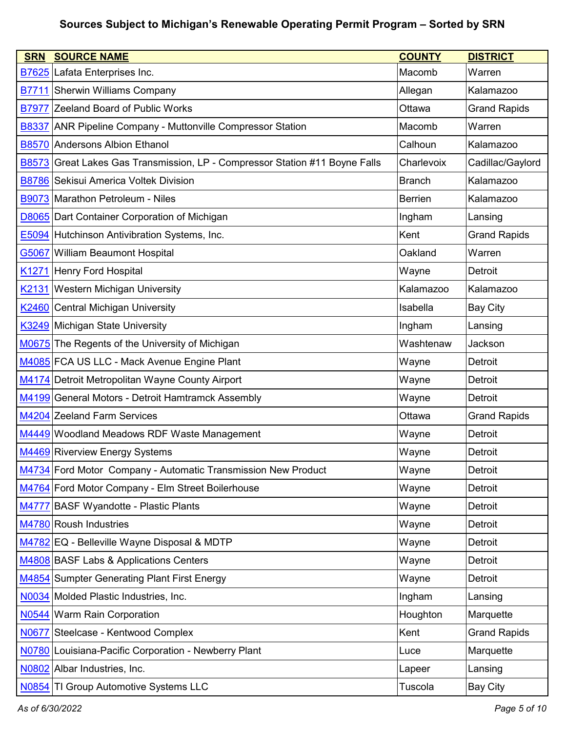| <b>SRN</b>        | <b>SOURCE NAME</b>                                                    | <b>COUNTY</b>  | <b>DISTRICT</b>     |
|-------------------|-----------------------------------------------------------------------|----------------|---------------------|
| <b>B7625</b>      | Lafata Enterprises Inc.                                               | Macomb         | Warren              |
|                   | <b>B7711</b> Sherwin Williams Company                                 | Allegan        | Kalamazoo           |
| <b>B7977</b>      | Zeeland Board of Public Works                                         | Ottawa         | <b>Grand Rapids</b> |
| <b>B8337</b>      | <b>ANR Pipeline Company - Muttonville Compressor Station</b>          | Macomb         | Warren              |
|                   | B8570 Andersons Albion Ethanol                                        | Calhoun        | Kalamazoo           |
| <b>B8573</b>      | Great Lakes Gas Transmission, LP - Compressor Station #11 Boyne Falls | Charlevoix     | Cadillac/Gaylord    |
|                   | B8786 Sekisui America Voltek Division                                 | <b>Branch</b>  | Kalamazoo           |
|                   | B9073 Marathon Petroleum - Niles                                      | <b>Berrien</b> | Kalamazoo           |
|                   | <b>D8065</b> Dart Container Corporation of Michigan                   | Ingham         | Lansing             |
|                   | <b>E5094</b> Hutchinson Antivibration Systems, Inc.                   | Kent           | <b>Grand Rapids</b> |
|                   | G5067 William Beaumont Hospital                                       | Oakland        | Warren              |
| K <sub>1271</sub> | Henry Ford Hospital                                                   | Wayne          | Detroit             |
|                   | K2131 Western Michigan University                                     | Kalamazoo      | Kalamazoo           |
|                   | K2460 Central Michigan University                                     | Isabella       | <b>Bay City</b>     |
|                   | K3249 Michigan State University                                       | Ingham         | Lansing             |
|                   | M0675 The Regents of the University of Michigan                       | Washtenaw      | Jackson             |
|                   | M4085 FCA US LLC - Mack Avenue Engine Plant                           | Wayne          | Detroit             |
|                   | M4174 Detroit Metropolitan Wayne County Airport                       | Wayne          | <b>Detroit</b>      |
|                   | M4199 General Motors - Detroit Hamtramck Assembly                     | Wayne          | Detroit             |
|                   | M4204 Zeeland Farm Services                                           | Ottawa         | <b>Grand Rapids</b> |
|                   | M4449 Woodland Meadows RDF Waste Management                           | Wayne          | Detroit             |
|                   | M4469 Riverview Energy Systems                                        | Wayne          | Detroit             |
|                   | M4734 Ford Motor Company - Automatic Transmission New Product         | Wayne          | Detroit             |
|                   | M4764 Ford Motor Company - Elm Street Boilerhouse                     | Wayne          | Detroit             |
|                   | M4777 BASF Wyandotte - Plastic Plants                                 | Wayne          | Detroit             |
|                   | M4780 Roush Industries                                                | Wayne          | Detroit             |
|                   | M4782 EQ - Belleville Wayne Disposal & MDTP                           | Wayne          | Detroit             |
|                   | M4808 BASF Labs & Applications Centers                                | Wayne          | Detroit             |
|                   | M4854 Sumpter Generating Plant First Energy                           | Wayne          | Detroit             |
|                   | N0034 Molded Plastic Industries, Inc.                                 | Ingham         | Lansing             |
|                   | N0544 Warm Rain Corporation                                           | Houghton       | Marquette           |
| N0677             | Steelcase - Kentwood Complex                                          | Kent           | <b>Grand Rapids</b> |
| N0780             | Louisiana-Pacific Corporation - Newberry Plant                        | Luce           | Marquette           |
|                   | N0802 Albar Industries, Inc.                                          | Lapeer         | Lansing             |
| N0854             | TI Group Automotive Systems LLC                                       | Tuscola        | Bay City            |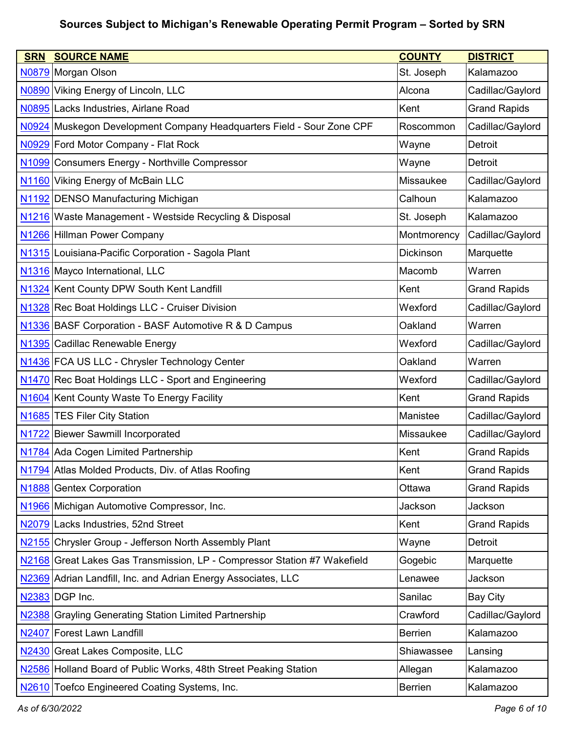| <b>SRN</b>         | <b>SOURCE NAME</b>                                                       | <b>COUNTY</b>    | <b>DISTRICT</b>     |
|--------------------|--------------------------------------------------------------------------|------------------|---------------------|
|                    | N0879 Morgan Olson                                                       | St. Joseph       | Kalamazoo           |
|                    | N0890 Viking Energy of Lincoln, LLC                                      | Alcona           | Cadillac/Gaylord    |
|                    | N0895 Lacks Industries, Airlane Road                                     | Kent             | <b>Grand Rapids</b> |
| N0924              | Muskegon Development Company Headquarters Field - Sour Zone CPF          | Roscommon        | Cadillac/Gaylord    |
|                    | N0929 Ford Motor Company - Flat Rock                                     | Wayne            | Detroit             |
|                    | N1099 Consumers Energy - Northville Compressor                           | Wayne            | Detroit             |
|                    | N1160 Viking Energy of McBain LLC                                        | Missaukee        | Cadillac/Gaylord    |
|                    | N1192 DENSO Manufacturing Michigan                                       | Calhoun          | Kalamazoo           |
|                    | N1216 Waste Management - Westside Recycling & Disposal                   | St. Joseph       | Kalamazoo           |
|                    | N1266 Hillman Power Company                                              | Montmorency      | Cadillac/Gaylord    |
|                    | N1315 Louisiana-Pacific Corporation - Sagola Plant                       | <b>Dickinson</b> | Marquette           |
|                    | N1316 Mayco International, LLC                                           | Macomb           | Warren              |
|                    | N1324 Kent County DPW South Kent Landfill                                | Kent             | <b>Grand Rapids</b> |
|                    | N1328 Rec Boat Holdings LLC - Cruiser Division                           | Wexford          | Cadillac/Gaylord    |
|                    | N1336 BASF Corporation - BASF Automotive R & D Campus                    | Oakland          | Warren              |
|                    | N1395 Cadillac Renewable Energy                                          | Wexford          | Cadillac/Gaylord    |
|                    | N1436 FCA US LLC - Chrysler Technology Center                            | Oakland          | Warren              |
| N <sub>1470</sub>  | Rec Boat Holdings LLC - Sport and Engineering                            | Wexford          | Cadillac/Gaylord    |
|                    | N1604 Kent County Waste To Energy Facility                               | Kent             | <b>Grand Rapids</b> |
|                    | N1685 TES Filer City Station                                             | Manistee         | Cadillac/Gaylord    |
|                    | N1722 Biewer Sawmill Incorporated                                        | Missaukee        | Cadillac/Gaylord    |
|                    | N1784 Ada Cogen Limited Partnership                                      | Kent             | <b>Grand Rapids</b> |
|                    | N1794 Atlas Molded Products, Div. of Atlas Roofing                       | Kent             | <b>Grand Rapids</b> |
|                    | N <sub>1888</sub> Gentex Corporation                                     | Ottawa           | <b>Grand Rapids</b> |
|                    | N1966 Michigan Automotive Compressor, Inc.                               | Jackson          | Jackson             |
|                    | N2079 Lacks Industries, 52nd Street                                      | Kent             | <b>Grand Rapids</b> |
| N <sub>2</sub> 155 | Chrysler Group - Jefferson North Assembly Plant                          | Wayne            | Detroit             |
|                    | N2168 Great Lakes Gas Transmission, LP - Compressor Station #7 Wakefield | Gogebic          | Marquette           |
|                    | N2369 Adrian Landfill, Inc. and Adrian Energy Associates, LLC            | Lenawee          | Jackson             |
|                    | N2383 DGP Inc.                                                           | Sanilac          | <b>Bay City</b>     |
| N2388              | <b>Grayling Generating Station Limited Partnership</b>                   | Crawford         | Cadillac/Gaylord    |
| N2407              | <b>Forest Lawn Landfill</b>                                              | <b>Berrien</b>   | Kalamazoo           |
|                    | N2430 Great Lakes Composite, LLC                                         | Shiawassee       | Lansing             |
|                    | N2586 Holland Board of Public Works, 48th Street Peaking Station         | Allegan          | Kalamazoo           |
| N <sub>2610</sub>  | Toefco Engineered Coating Systems, Inc.                                  | <b>Berrien</b>   | Kalamazoo           |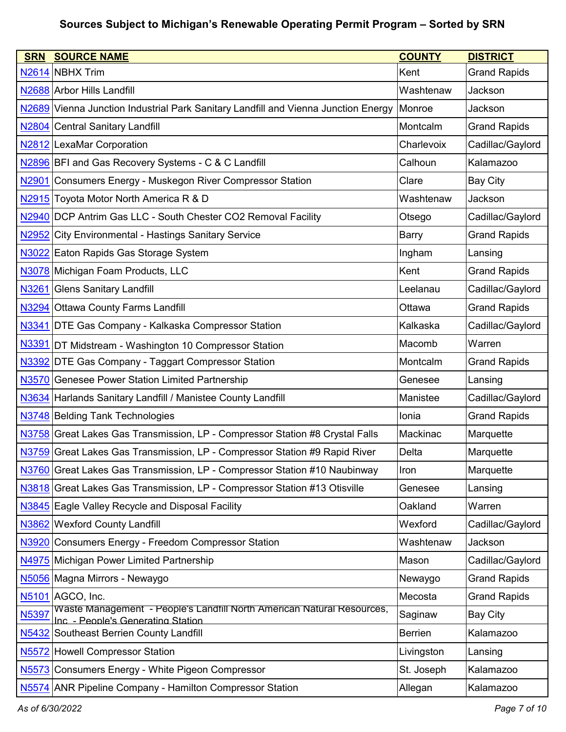| <b>SRN</b>        | <b>SOURCE NAME</b>                                                                                           | <b>COUNTY</b>  | <b>DISTRICT</b>     |
|-------------------|--------------------------------------------------------------------------------------------------------------|----------------|---------------------|
|                   | N2614 NBHX Trim                                                                                              | Kent           | <b>Grand Rapids</b> |
|                   | N2688 Arbor Hills Landfill                                                                                   | Washtenaw      | Jackson             |
|                   | N2689 Vienna Junction Industrial Park Sanitary Landfill and Vienna Junction Energy                           | Monroe         | Jackson             |
| N <sub>2804</sub> | Central Sanitary Landfill                                                                                    | Montcalm       | <b>Grand Rapids</b> |
|                   | N2812 LexaMar Corporation                                                                                    | Charlevoix     | Cadillac/Gaylord    |
|                   | N2896 BFI and Gas Recovery Systems - C & C Landfill                                                          | Calhoun        | Kalamazoo           |
| N2901             | Consumers Energy - Muskegon River Compressor Station                                                         | Clare          | <b>Bay City</b>     |
|                   | N2915 Toyota Motor North America R & D                                                                       | Washtenaw      | Jackson             |
|                   | N2940 DCP Antrim Gas LLC - South Chester CO2 Removal Facility                                                | Otsego         | Cadillac/Gaylord    |
| N2952             | <b>City Environmental - Hastings Sanitary Service</b>                                                        | <b>Barry</b>   | <b>Grand Rapids</b> |
|                   | N3022 Eaton Rapids Gas Storage System                                                                        | Ingham         | Lansing             |
|                   | N3078 Michigan Foam Products, LLC                                                                            | Kent           | <b>Grand Rapids</b> |
| N3261             | <b>Glens Sanitary Landfill</b>                                                                               | Leelanau       | Cadillac/Gaylord    |
|                   | N3294 Ottawa County Farms Landfill                                                                           | Ottawa         | <b>Grand Rapids</b> |
| N3341             | <b>DTE Gas Company - Kalkaska Compressor Station</b>                                                         | Kalkaska       | Cadillac/Gaylord    |
| N3391             | DT Midstream - Washington 10 Compressor Station                                                              | Macomb         | Warren              |
|                   | N3392 DTE Gas Company - Taggart Compressor Station                                                           | Montcalm       | <b>Grand Rapids</b> |
| N3570             | Genesee Power Station Limited Partnership                                                                    | Genesee        | Lansing             |
|                   | N3634 Harlands Sanitary Landfill / Manistee County Landfill                                                  | Manistee       | Cadillac/Gaylord    |
|                   | N3748 Belding Tank Technologies                                                                              | Ionia          | <b>Grand Rapids</b> |
|                   | N3758 Great Lakes Gas Transmission, LP - Compressor Station #8 Crystal Falls                                 | Mackinac       | Marquette           |
|                   | N3759 Great Lakes Gas Transmission, LP - Compressor Station #9 Rapid River                                   | Delta          | Marquette           |
|                   | N3760 Great Lakes Gas Transmission, LP - Compressor Station #10 Naubinway                                    | Iron           | Marquette           |
|                   | N3818 Great Lakes Gas Transmission, LP - Compressor Station #13 Otisville                                    | Genesee        | Lansing             |
|                   | N3845 Eagle Valley Recycle and Disposal Facility                                                             | Oakland        | Warren              |
|                   | N3862 Wexford County Landfill                                                                                | Wexford        | Cadillac/Gaylord    |
| N3920             | <b>Consumers Energy - Freedom Compressor Station</b>                                                         | Washtenaw      | Jackson             |
| N4975             | Michigan Power Limited Partnership                                                                           | Mason          | Cadillac/Gaylord    |
|                   | N5056 Magna Mirrors - Newaygo                                                                                | Newaygo        | <b>Grand Rapids</b> |
|                   | N5101 AGCO, Inc.                                                                                             | Mecosta        | <b>Grand Rapids</b> |
| N5397             | Waste Management - People's Landfill North American Natural Resources,<br>Inc. - People's Generating Station | Saginaw        | <b>Bay City</b>     |
| N <sub>5432</sub> | Southeast Berrien County Landfill                                                                            | <b>Berrien</b> | Kalamazoo           |
| N <sub>5572</sub> | <b>Howell Compressor Station</b>                                                                             | Livingston     | Lansing             |
| <u>N5573</u>      | Consumers Energy - White Pigeon Compressor                                                                   | St. Joseph     | Kalamazoo           |
| N <sub>5574</sub> | <b>ANR Pipeline Company - Hamilton Compressor Station</b>                                                    | Allegan        | Kalamazoo           |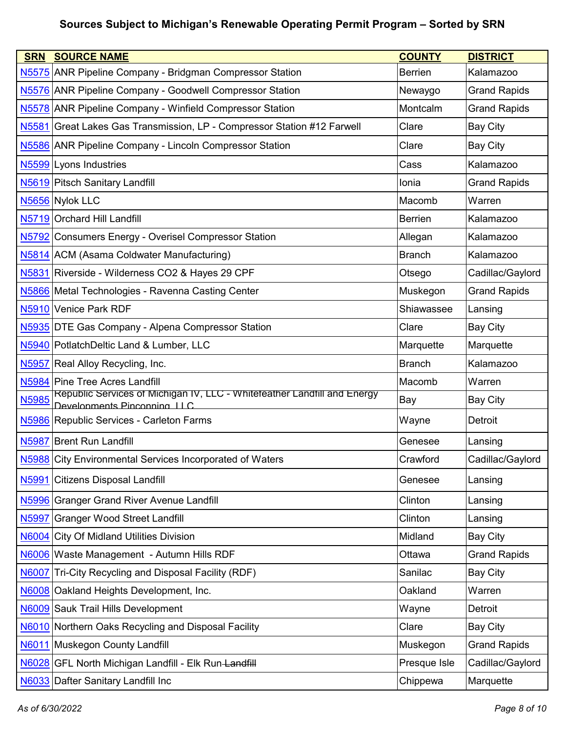| <b>SRN</b>        | <b>SOURCE NAME</b>                                                                                      | <b>COUNTY</b>  | <b>DISTRICT</b>     |
|-------------------|---------------------------------------------------------------------------------------------------------|----------------|---------------------|
|                   | N5575 ANR Pipeline Company - Bridgman Compressor Station                                                | <b>Berrien</b> | Kalamazoo           |
|                   | N5576 ANR Pipeline Company - Goodwell Compressor Station                                                | Newaygo        | <b>Grand Rapids</b> |
|                   | N5578 ANR Pipeline Company - Winfield Compressor Station                                                | Montcalm       | <b>Grand Rapids</b> |
|                   | N5581 Great Lakes Gas Transmission, LP - Compressor Station #12 Farwell                                 | Clare          | <b>Bay City</b>     |
|                   | N5586 ANR Pipeline Company - Lincoln Compressor Station                                                 | Clare          | <b>Bay City</b>     |
|                   | N5599 Lyons Industries                                                                                  | Cass           | Kalamazoo           |
|                   | N5619 Pitsch Sanitary Landfill                                                                          | Ionia          | <b>Grand Rapids</b> |
|                   | N5656 Nylok LLC                                                                                         | Macomb         | Warren              |
|                   | N5719 Orchard Hill Landfill                                                                             | <b>Berrien</b> | Kalamazoo           |
|                   | N5792 Consumers Energy - Overisel Compressor Station                                                    | Allegan        | Kalamazoo           |
|                   | N5814 ACM (Asama Coldwater Manufacturing)                                                               | <b>Branch</b>  | Kalamazoo           |
|                   | N5831 Riverside - Wilderness CO2 & Hayes 29 CPF                                                         | Otsego         | Cadillac/Gaylord    |
|                   | N5866 Metal Technologies - Ravenna Casting Center                                                       | Muskegon       | <b>Grand Rapids</b> |
|                   | N5910 Venice Park RDF                                                                                   | Shiawassee     | Lansing             |
|                   | N5935 DTE Gas Company - Alpena Compressor Station                                                       | Clare          | Bay City            |
|                   | N5940 PotlatchDeltic Land & Lumber, LLC                                                                 | Marquette      | Marquette           |
|                   | N5957 Real Alloy Recycling, Inc.                                                                        | <b>Branch</b>  | Kalamazoo           |
|                   | N5984 Pine Tree Acres Landfill                                                                          | Macomb         | Warren              |
| N5985             | Republic Services of Michigan IV, LLC - Whitefeather Landfill and Energy<br>Developments Pinconning IIC | Bay            | <b>Bay City</b>     |
|                   | N5986 Republic Services - Carleton Farms                                                                | Wayne          | Detroit             |
|                   | N5987 Brent Run Landfill                                                                                | Genesee        | Lansing             |
|                   | N5988 City Environmental Services Incorporated of Waters                                                | Crawford       | Cadillac/Gaylord    |
| N5991             | <b>Citizens Disposal Landfill</b>                                                                       | Genesee        | Lansing             |
| <b>N5996</b>      | <b>Granger Grand River Avenue Landfill</b>                                                              | Clinton        | Lansing             |
| N <sub>5997</sub> | <b>Granger Wood Street Landfill</b>                                                                     | Clinton        | Lansing             |
|                   | N6004 City Of Midland Utilities Division                                                                | Midland        | <b>Bay City</b>     |
|                   | N6006 Waste Management - Autumn Hills RDF                                                               | Ottawa         | <b>Grand Rapids</b> |
|                   | N6007 Tri-City Recycling and Disposal Facility (RDF)                                                    | Sanilac        | <b>Bay City</b>     |
|                   | N6008 Oakland Heights Development, Inc.                                                                 | Oakland        | Warren              |
|                   | N6009 Sauk Trail Hills Development                                                                      | Wayne          | Detroit             |
|                   | N6010 Northern Oaks Recycling and Disposal Facility                                                     | Clare          | <b>Bay City</b>     |
|                   | N6011 Muskegon County Landfill                                                                          | Muskegon       | <b>Grand Rapids</b> |
|                   | N6028 GFL North Michigan Landfill - Elk Run-Landfill                                                    | Presque Isle   | Cadillac/Gaylord    |
|                   | N6033 Dafter Sanitary Landfill Inc                                                                      | Chippewa       | Marquette           |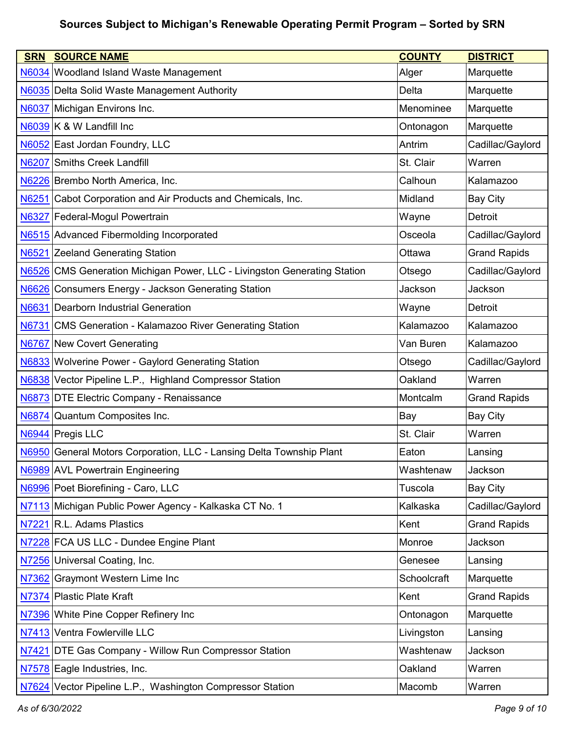| <b>SRN</b> | <b>SOURCE NAME</b>                                                       | <b>COUNTY</b> | <b>DISTRICT</b>     |
|------------|--------------------------------------------------------------------------|---------------|---------------------|
|            | N6034 Woodland Island Waste Management                                   | Alger         | Marquette           |
|            | N6035 Delta Solid Waste Management Authority                             | Delta         | Marquette           |
| N6037      | Michigan Environs Inc.                                                   | Menominee     | Marquette           |
|            | N6039 K & W Landfill Inc                                                 | Ontonagon     | Marquette           |
|            | N6052 East Jordan Foundry, LLC                                           | Antrim        | Cadillac/Gaylord    |
|            | N6207 Smiths Creek Landfill                                              | St. Clair     | Warren              |
|            | N6226 Brembo North America, Inc.                                         | Calhoun       | Kalamazoo           |
|            | N6251 Cabot Corporation and Air Products and Chemicals, Inc.             | Midland       | <b>Bay City</b>     |
|            | N6327 Federal-Mogul Powertrain                                           | Wayne         | Detroit             |
|            | N6515 Advanced Fibermolding Incorporated                                 | Osceola       | Cadillac/Gaylord    |
|            | N6521 Zeeland Generating Station                                         | Ottawa        | <b>Grand Rapids</b> |
|            | N6526 CMS Generation Michigan Power, LLC - Livingston Generating Station | Otsego        | Cadillac/Gaylord    |
|            | N6626 Consumers Energy - Jackson Generating Station                      | Jackson       | Jackson             |
|            | N6631 Dearborn Industrial Generation                                     | Wayne         | Detroit             |
|            | N6731 CMS Generation - Kalamazoo River Generating Station                | Kalamazoo     | Kalamazoo           |
|            | N6767 New Covert Generating                                              | Van Buren     | Kalamazoo           |
|            | N6833 Wolverine Power - Gaylord Generating Station                       | Otsego        | Cadillac/Gaylord    |
|            | N6838 Vector Pipeline L.P., Highland Compressor Station                  | Oakland       | Warren              |
|            | N6873 DTE Electric Company - Renaissance                                 | Montcalm      | <b>Grand Rapids</b> |
| N6874      | Quantum Composites Inc.                                                  | Bay           | <b>Bay City</b>     |
|            | N6944 Pregis LLC                                                         | St. Clair     | Warren              |
|            | N6950 General Motors Corporation, LLC - Lansing Delta Township Plant     | Eaton         | Lansing             |
|            | N6989 AVL Powertrain Engineering                                         | Washtenaw     | Jackson             |
|            | N6996 Poet Biorefining - Caro, LLC                                       | Tuscola       | <b>Bay City</b>     |
|            | N7113 Michigan Public Power Agency - Kalkaska CT No. 1                   | Kalkaska      | Cadillac/Gaylord    |
|            | N7221 R.L. Adams Plastics                                                | Kent          | <b>Grand Rapids</b> |
|            | N7228 FCA US LLC - Dundee Engine Plant                                   | Monroe        | Jackson             |
|            | N7256 Universal Coating, Inc.                                            | Genesee       | Lansing             |
|            | N7362 Graymont Western Lime Inc                                          | Schoolcraft   | Marquette           |
|            | N7374 Plastic Plate Kraft                                                | Kent          | <b>Grand Rapids</b> |
|            | N7396 White Pine Copper Refinery Inc                                     | Ontonagon     | Marquette           |
|            | N7413 Ventra Fowlerville LLC                                             | Livingston    | Lansing             |
|            | N7421 DTE Gas Company - Willow Run Compressor Station                    | Washtenaw     | Jackson             |
|            | N7578 Eagle Industries, Inc.                                             | Oakland       | Warren              |
|            | N7624 Vector Pipeline L.P., Washington Compressor Station                | Macomb        | Warren              |